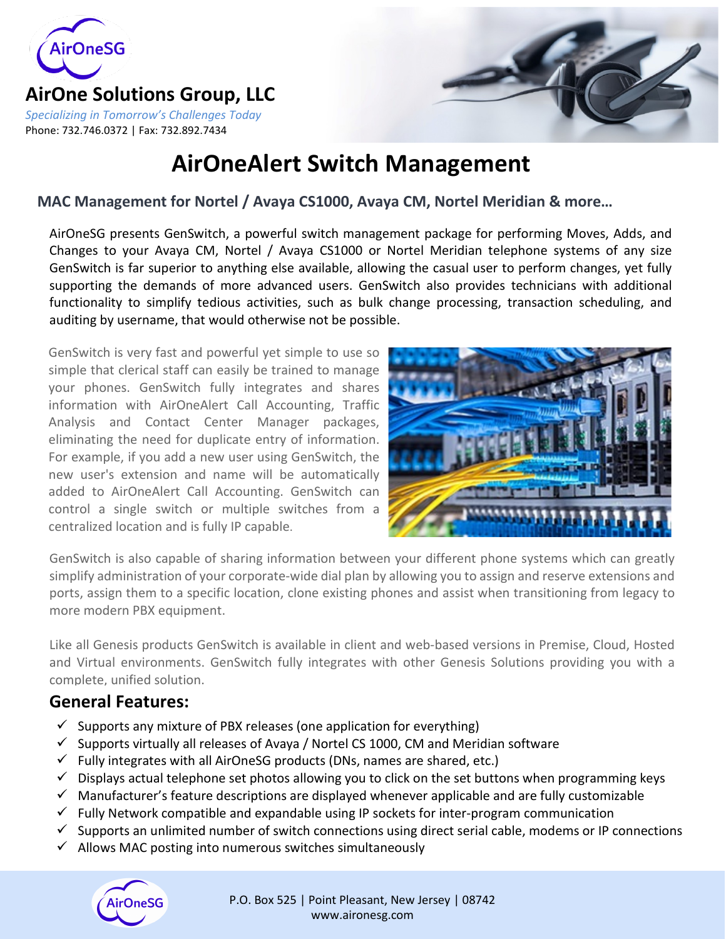

#### **AirOne Solutions Group, LLC** *Specializing in Tomorrow's Challenges Today* Phone: 732.746.0372 | Fax: 732.892.7434



# **AirOneAlert Switch Management**

#### **MAC Management for Nortel / Avaya CS1000, Avaya CM, Nortel Meridian & more…**

AirOneSG presents GenSwitch, a powerful switch management package for performing Moves, Adds, and Changes to your Avaya CM, Nortel / Avaya CS1000 or Nortel Meridian telephone systems of any size GenSwitch is far superior to anything else available, allowing the casual user to perform changes, yet fully supporting the demands of more advanced users. GenSwitch also provides technicians with additional functionality to simplify tedious activities, such as bulk change processing, transaction scheduling, and auditing by username, that would otherwise not be possible.

GenSwitch is very fast and powerful yet simple to use so simple that clerical staff can easily be trained to manage your phones. GenSwitch fully integrates and shares information with AirOneAlert Call Accounting, Traffic Analysis and Contact Center Manager packages, eliminating the need for duplicate entry of information. For example, if you add a new user using GenSwitch, the new user's extension and name will be automatically added to AirOneAlert Call Accounting. GenSwitch can control a single switch or multiple switches from a centralized location and is fully IP capable.



GenSwitch is also capable of sharing information between your different phone systems which can greatly simplify administration of your corporate-wide dial plan by allowing you to assign and reserve extensions and ports, assign them to a specific location, clone existing phones and assist when transitioning from legacy to more modern PBX equipment.

Like all Genesis products GenSwitch is available in client and web-based versions in Premise, Cloud, Hosted and Virtual environments. GenSwitch fully integrates with other Genesis Solutions providing you with a complete, unified solution.

### **General Features:**

- $\checkmark$  Supports any mixture of PBX releases (one application for everything)
- $\checkmark$  Supports virtually all releases of Avaya / Nortel CS 1000, CM and Meridian software
- $\checkmark$  Fully integrates with all AirOneSG products (DNs, names are shared, etc.)
- $\checkmark$  Displays actual telephone set photos allowing you to click on the set buttons when programming keys
- $\checkmark$  Manufacturer's feature descriptions are displayed whenever applicable and are fully customizable
- $\checkmark$  Fully Network compatible and expandable using IP sockets for inter-program communication
- $\checkmark$  Supports an unlimited number of switch connections using direct serial cable, modems or IP connections
- $\checkmark$  Allows MAC posting into numerous switches simultaneously